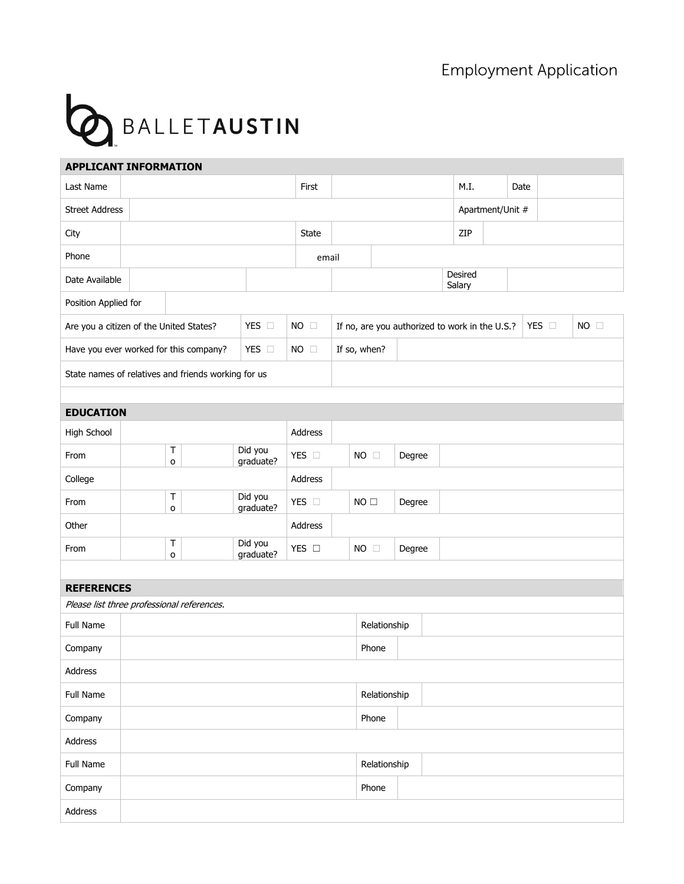## **Employment Application**



| <b>APPLICANT INFORMATION</b>                        |                                        |                                |  |                      |                |              |                                                |                  |        |                   |      |      |               |                |
|-----------------------------------------------------|----------------------------------------|--------------------------------|--|----------------------|----------------|--------------|------------------------------------------------|------------------|--------|-------------------|------|------|---------------|----------------|
| Last Name                                           |                                        | First                          |  |                      |                |              |                                                |                  |        |                   | M.I. | Date |               |                |
| <b>Street Address</b>                               |                                        |                                |  |                      |                |              |                                                | Apartment/Unit # |        |                   |      |      |               |                |
| City                                                |                                        |                                |  |                      |                | <b>State</b> |                                                |                  |        |                   | ZIP  |      |               |                |
| Phone                                               |                                        |                                |  |                      |                | email        |                                                |                  |        |                   |      |      |               |                |
| Date Available                                      |                                        |                                |  |                      |                |              |                                                |                  |        | Desired<br>Salary |      |      |               |                |
| Position Applied for                                |                                        |                                |  |                      |                |              |                                                |                  |        |                   |      |      |               |                |
| Are you a citizen of the United States?             |                                        |                                |  | YES O                | $NO$ $\square$ |              | If no, are you authorized to work in the U.S.? |                  |        |                   |      |      | YES $\square$ | $NO$ $\square$ |
|                                                     | Have you ever worked for this company? |                                |  | YES O                | $NO \square$   |              | If so, when?                                   |                  |        |                   |      |      |               |                |
| State names of relatives and friends working for us |                                        |                                |  |                      |                |              |                                                |                  |        |                   |      |      |               |                |
|                                                     |                                        |                                |  |                      |                |              |                                                |                  |        |                   |      |      |               |                |
| <b>EDUCATION</b>                                    |                                        |                                |  |                      |                |              |                                                |                  |        |                   |      |      |               |                |
| High School                                         |                                        |                                |  |                      | Address        |              |                                                |                  |        |                   |      |      |               |                |
| From                                                |                                        | Т<br>o                         |  | Did you<br>graduate? | YES O          |              | $NO$ $\square$                                 |                  | Degree |                   |      |      |               |                |
| College                                             |                                        |                                |  |                      | Address        |              |                                                |                  |        |                   |      |      |               |                |
| From                                                |                                        | Т<br>Did you<br>graduate?<br>o |  | YES O                |                | NO           |                                                | Degree           |        |                   |      |      |               |                |
| Other                                               |                                        |                                |  |                      | Address        |              |                                                |                  |        |                   |      |      |               |                |
| From                                                |                                        | Т<br>o                         |  | Did you<br>graduate? | YES O          |              | $NO$ $\square$                                 |                  | Degree |                   |      |      |               |                |
|                                                     |                                        |                                |  |                      |                |              |                                                |                  |        |                   |      |      |               |                |
| <b>REFERENCES</b>                                   |                                        |                                |  |                      |                |              |                                                |                  |        |                   |      |      |               |                |
| Please list three professional references.          |                                        |                                |  |                      |                |              |                                                |                  |        |                   |      |      |               |                |
| Full Name                                           |                                        |                                |  |                      |                | Relationship |                                                |                  |        |                   |      |      |               |                |
| Company                                             |                                        |                                |  |                      | Phone          |              |                                                |                  |        |                   |      |      |               |                |
| Address                                             |                                        |                                |  |                      |                |              |                                                |                  |        |                   |      |      |               |                |
| Full Name                                           |                                        |                                |  |                      |                | Relationship |                                                |                  |        |                   |      |      |               |                |
| Company                                             |                                        |                                |  |                      |                |              | Phone                                          |                  |        |                   |      |      |               |                |
| Address                                             |                                        |                                |  |                      |                |              |                                                |                  |        |                   |      |      |               |                |
| Full Name                                           |                                        |                                |  |                      |                | Relationship |                                                |                  |        |                   |      |      |               |                |
| Company                                             |                                        |                                |  |                      |                | Phone        |                                                |                  |        |                   |      |      |               |                |
| Address                                             |                                        |                                |  |                      |                |              |                                                |                  |        |                   |      |      |               |                |